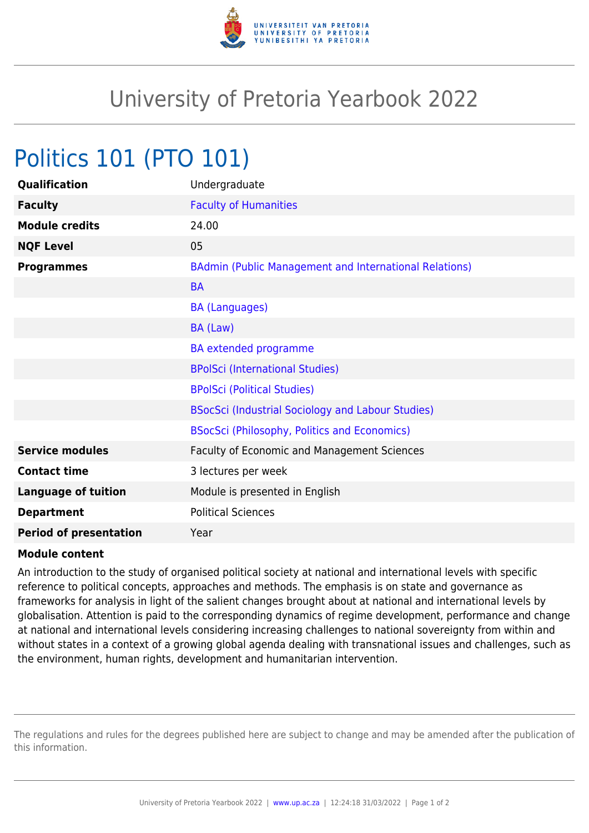

## University of Pretoria Yearbook 2022

## Politics 101 (PTO 101)

| Qualification                 | Undergraduate                                            |
|-------------------------------|----------------------------------------------------------|
| <b>Faculty</b>                | <b>Faculty of Humanities</b>                             |
| <b>Module credits</b>         | 24.00                                                    |
| <b>NQF Level</b>              | 05                                                       |
| <b>Programmes</b>             | BAdmin (Public Management and International Relations)   |
|                               | <b>BA</b>                                                |
|                               | <b>BA (Languages)</b>                                    |
|                               | BA (Law)                                                 |
|                               | <b>BA</b> extended programme                             |
|                               | <b>BPolSci (International Studies)</b>                   |
|                               | <b>BPolSci (Political Studies)</b>                       |
|                               | <b>BSocSci (Industrial Sociology and Labour Studies)</b> |
|                               | <b>BSocSci (Philosophy, Politics and Economics)</b>      |
| <b>Service modules</b>        | Faculty of Economic and Management Sciences              |
| <b>Contact time</b>           | 3 lectures per week                                      |
| <b>Language of tuition</b>    | Module is presented in English                           |
| <b>Department</b>             | <b>Political Sciences</b>                                |
| <b>Period of presentation</b> | Year                                                     |

## **Module content**

An introduction to the study of organised political society at national and international levels with specific reference to political concepts, approaches and methods. The emphasis is on state and governance as frameworks for analysis in light of the salient changes brought about at national and international levels by globalisation. Attention is paid to the corresponding dynamics of regime development, performance and change at national and international levels considering increasing challenges to national sovereignty from within and without states in a context of a growing global agenda dealing with transnational issues and challenges, such as the environment, human rights, development and humanitarian intervention.

The regulations and rules for the degrees published here are subject to change and may be amended after the publication of this information.